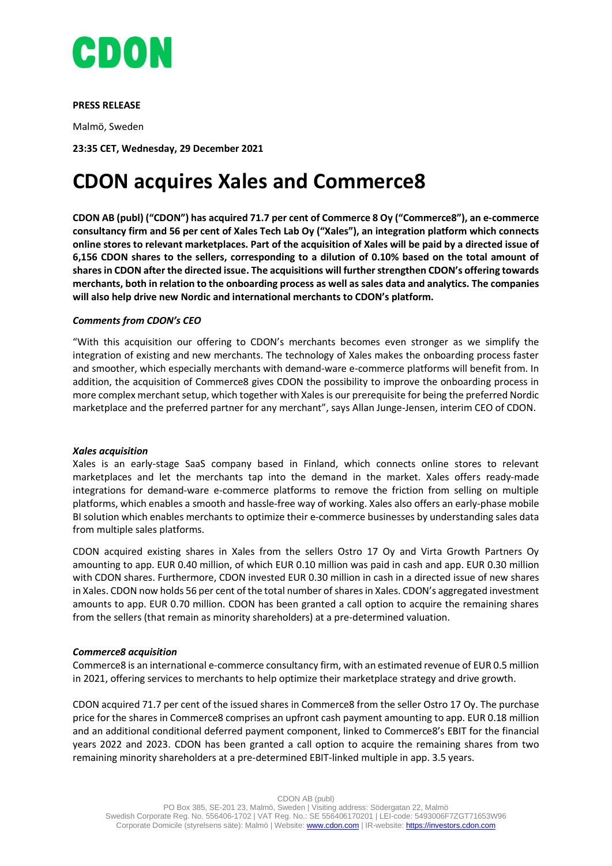

## **PRESS RELEASE**

Malmö, Sweden

**23:35 CET, Wednesday, 29 December 2021**

# **CDON acquires Xales and Commerce8**

**CDON AB (publ) ("CDON") has acquired 71.7 per cent of Commerce 8 Oy ("Commerce8"), an e-commerce consultancy firm and 56 per cent of Xales Tech Lab Oy ("Xales"), an integration platform which connects online stores to relevant marketplaces. Part of the acquisition of Xales will be paid by a directed issue of 6,156 CDON shares to the sellers, corresponding to a dilution of 0.10% based on the total amount of shares in CDON after the directed issue. The acquisitions will further strengthen CDON's offering towards merchants, both in relation to the onboarding process as well as sales data and analytics. The companies will also help drive new Nordic and international merchants to CDON's platform.** 

## *Comments from CDON's CEO*

"With this acquisition our offering to CDON's merchants becomes even stronger as we simplify the integration of existing and new merchants. The technology of Xales makes the onboarding process faster and smoother, which especially merchants with demand-ware e-commerce platforms will benefit from. In addition, the acquisition of Commerce8 gives CDON the possibility to improve the onboarding process in more complex merchant setup, which together with Xales is our prerequisite for being the preferred Nordic marketplace and the preferred partner for any merchant", says Allan Junge-Jensen, interim CEO of CDON.

#### *Xales acquisition*

Xales is an early-stage SaaS company based in Finland, which connects online stores to relevant marketplaces and let the merchants tap into the demand in the market. Xales offers ready-made integrations for demand-ware e-commerce platforms to remove the friction from selling on multiple platforms, which enables a smooth and hassle-free way of working. Xales also offers an early-phase mobile BI solution which enables merchants to optimize their e-commerce businesses by understanding sales data from multiple sales platforms.

CDON acquired existing shares in Xales from the sellers Ostro 17 Oy and Virta Growth Partners Oy amounting to app. EUR 0.40 million, of which EUR 0.10 million was paid in cash and app. EUR 0.30 million with CDON shares. Furthermore, CDON invested EUR 0.30 million in cash in a directed issue of new shares in Xales. CDON now holds 56 per cent of the total number of shares in Xales. CDON's aggregated investment amounts to app. EUR 0.70 million. CDON has been granted a call option to acquire the remaining shares from the sellers (that remain as minority shareholders) at a pre-determined valuation.

#### *Commerce8 acquisition*

Commerce8 is an international e-commerce consultancy firm, with an estimated revenue of EUR 0.5 million in 2021, offering services to merchants to help optimize their marketplace strategy and drive growth.

CDON acquired 71.7 per cent of the issued shares in Commerce8 from the seller Ostro 17 Oy. The purchase price for the shares in Commerce8 comprises an upfront cash payment amounting to app. EUR 0.18 million and an additional conditional deferred payment component, linked to Commerce8's EBIT for the financial years 2022 and 2023. CDON has been granted a call option to acquire the remaining shares from two remaining minority shareholders at a pre-determined EBIT-linked multiple in app. 3.5 years.